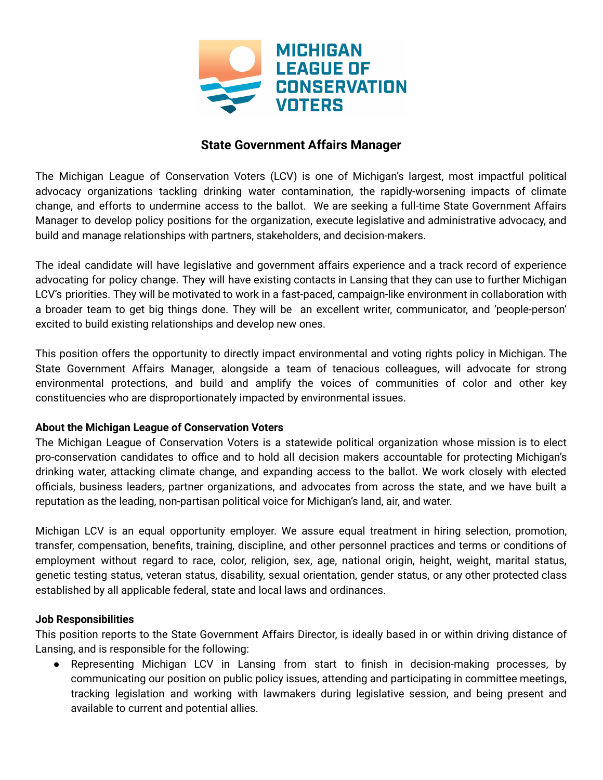

# **State Government Affairs Manager**

The Michigan League of Conservation Voters (LCV) is one of Michigan's largest, most impactful political advocacy organizations tackling drinking water contamination, the rapidly-worsening impacts of climate change, and efforts to undermine access to the ballot. We are seeking a full-time State Government Affairs Manager to develop policy positions for the organization, execute legislative and administrative advocacy, and build and manage relationships with partners, stakeholders, and decision-makers.

The ideal candidate will have legislative and government affairs experience and a track record of experience advocating for policy change. They will have existing contacts in Lansing that they can use to further Michigan LCV's priorities. They will be motivated to work in a fast-paced, campaign-like environment in collaboration with a broader team to get big things done. They will be an excellent writer, communicator, and 'people-person' excited to build existing relationships and develop new ones.

This position offers the opportunity to directly impact environmental and voting rights policy in Michigan. The State Government Affairs Manager, alongside a team of tenacious colleagues, will advocate for strong environmental protections, and build and amplify the voices of communities of color and other key constituencies who are disproportionately impacted by environmental issues.

## **About the Michigan League of Conservation Voters**

The Michigan League of Conservation Voters is a statewide political organization whose mission is to elect pro-conservation candidates to office and to hold all decision makers accountable for protecting Michigan's drinking water, attacking climate change, and expanding access to the ballot. We work closely with elected officials, business leaders, partner organizations, and advocates from across the state, and we have built a reputation as the leading, non-partisan political voice for Michigan's land, air, and water.

Michigan LCV is an equal opportunity employer. We assure equal treatment in hiring selection, promotion, transfer, compensation, benefits, training, discipline, and other personnel practices and terms or conditions of employment without regard to race, color, religion, sex, age, national origin, height, weight, marital status, genetic testing status, veteran status, disability, sexual orientation, gender status, or any other protected class established by all applicable federal, state and local laws and ordinances.

## **Job Responsibilities**

This position reports to the State Government Affairs Director, is ideally based in or within driving distance of Lansing, and is responsible for the following:

● Representing Michigan LCV in Lansing from start to finish in decision-making processes, by communicating our position on public policy issues, attending and participating in committee meetings, tracking legislation and working with lawmakers during legislative session, and being present and available to current and potential allies.